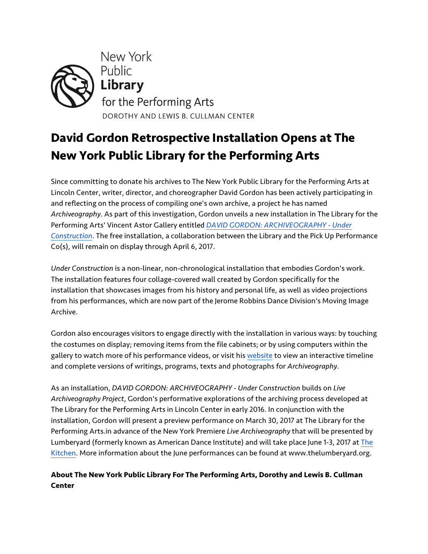

## **David Gordon Retrospective Installation Opens at The New York Public Library for the Performing Arts**

Since committing to donate his archives to The New York Public Library for the Performing Arts at Lincoln Center, writer, director, and choreographer David Gordon has been actively participating in and reflecting on the process of compiling one's own archive, a project he has named *Archiveography*. As part of this investigation, Gordon unveils a new installation in The Library for the Performing Arts' Vincent Astor Gallery entitled *DAVID GORDON: ARCHIVEOGRAPHY - Under Construction*. The free installation, a collaboration between the Library and the Pick Up Performance Co(s), will remain on display through April 6, 2017.

*Under Construction* is a non-linear, non-chronological installation that embodies Gordon's work. The installation features four collage-covered wall created by Gordon specifically for the installation that showcases images from his history and personal life, as well as video projections from his performances, which are now part of the Jerome Robbins Dance Division's Moving Image Archive.

Gordon also encourages visitors to engage directly with the installation in various ways: by touching the costumes on display; removing items from the file cabinets; or by using computers within the gallery to watch more of his performance videos, or visit his website to view an interactive timeline and complete versions of writings, programs, texts and photographs for *Archiveography*.

As an installation, *DAVID GORDON: ARCHIVEOGRAPHY - Under Construction* builds on *Live Archiveography Project*, Gordon's performative explorations of the archiving process developed at The Library for the Performing Arts in Lincoln Center in early 2016. In conjunction with the installation, Gordon will present a preview performance on March 30, 2017 at The Library for the Performing Arts.in advance of the New York Premiere *Live Archiveography* that will be presented by Lumberyard (formerly known as American Dance Institute) and will take place June 1-3, 2017 at The Kitchen. More information about the June performances can be found at www.thelumberyard.org.

## **About The New York Public Library For The Performing Arts, Dorothy and Lewis B. Cullman Center**